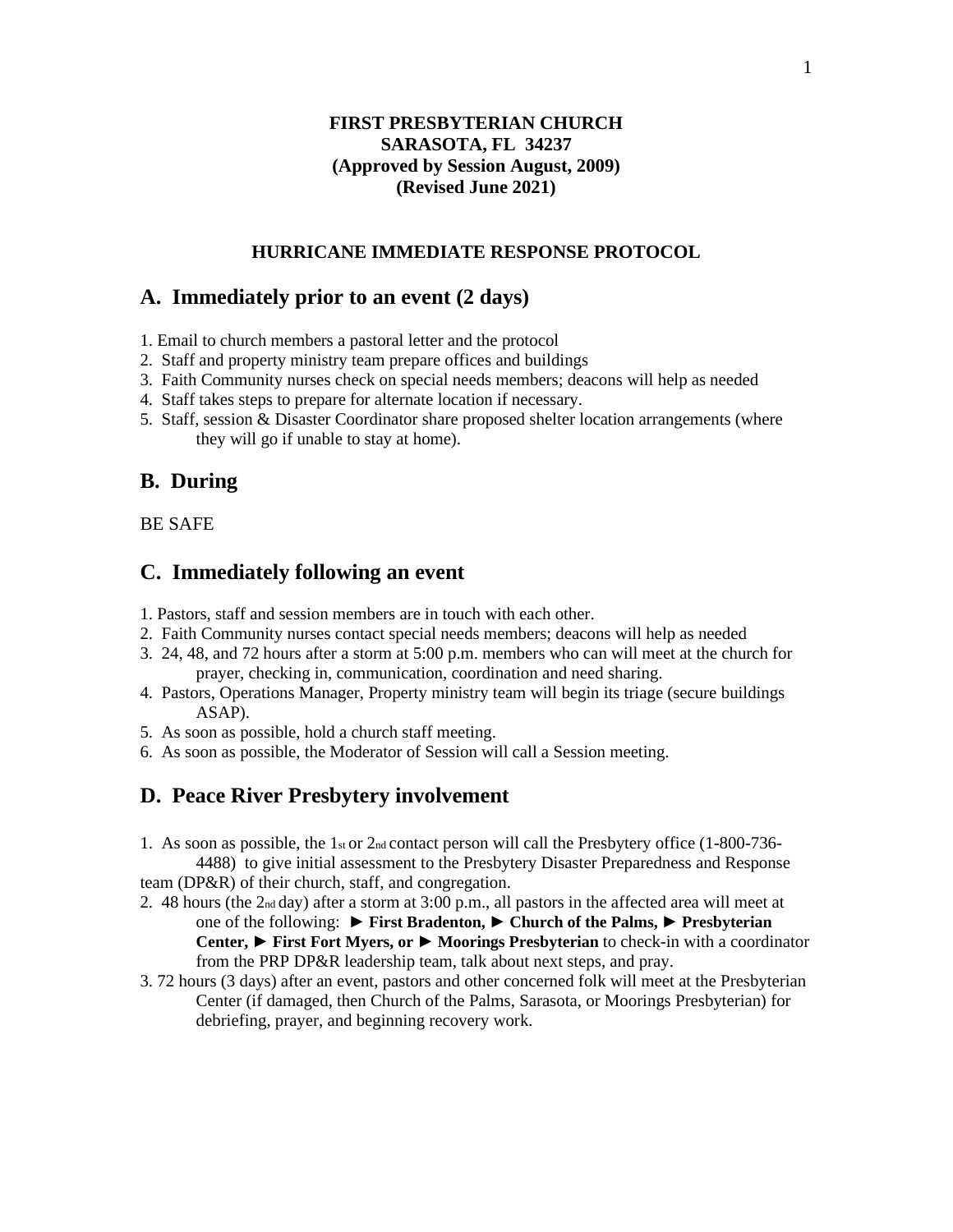# **FIRST PRESBYTERIAN CHURCH SARASOTA, FL 34237 (Approved by Session August, 2009) (Revised June 2021)**

#### **HURRICANE IMMEDIATE RESPONSE PROTOCOL**

# **A. Immediately prior to an event (2 days)**

- 1. Email to church members a pastoral letter and the protocol
- 2. Staff and property ministry team prepare offices and buildings
- 3. Faith Community nurses check on special needs members; deacons will help as needed
- 4. Staff takes steps to prepare for alternate location if necessary.
- 5. Staff, session & Disaster Coordinator share proposed shelter location arrangements (where they will go if unable to stay at home).

# **B. During**

BE SAFE

# **C. Immediately following an event**

- 1. Pastors, staff and session members are in touch with each other.
- 2. Faith Community nurses contact special needs members; deacons will help as needed
- 3. 24, 48, and 72 hours after a storm at 5:00 p.m. members who can will meet at the church for prayer, checking in, communication, coordination and need sharing.
- 4. Pastors, Operations Manager, Property ministry team will begin its triage (secure buildings ASAP).
- 5. As soon as possible, hold a church staff meeting.
- 6. As soon as possible, the Moderator of Session will call a Session meeting.

#### **D. Peace River Presbytery involvement**

1. As soon as possible, the 1st or  $2<sub>nd</sub>$  contact person will call the Presbytery office (1-800-736-4488) to give initial assessment to the Presbytery Disaster Preparedness and Response

team (DP&R) of their church, staff, and congregation.

- 2. 48 hours (the 2nd day) after a storm at 3:00 p.m., all pastors in the affected area will meet at one of the following: **► First Bradenton, ► Church of the Palms, ► Presbyterian Center, ► First Fort Myers, or ► Moorings Presbyterian** to check-in with a coordinator from the PRP DP&R leadership team, talk about next steps, and pray.
- 3. 72 hours (3 days) after an event, pastors and other concerned folk will meet at the Presbyterian Center (if damaged, then Church of the Palms, Sarasota, or Moorings Presbyterian) for debriefing, prayer, and beginning recovery work.